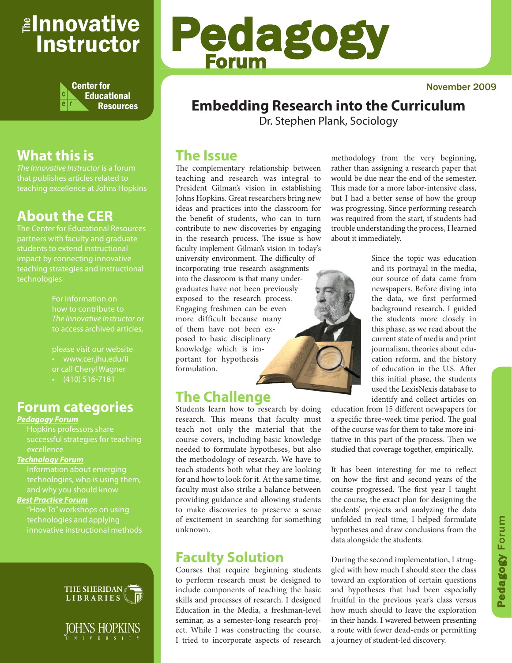# <sub>≝l</sub>nnovative Instructor



# **What this is**

that publishes articles related to teaching excellence at Johns Hopkins

# **About the CER**

The Center for Educational Resources partners with faculty and graduate teaching strategies and instructional technologies

> For information on how to contribute to *The Innovative Instructor* or to access archived articles,

• www.cer.jhu.edu/ii or call Cheryl Wagner  $\cdot$  (410) 516-7181

# **Forum categories**

#### *Pedagogy Forum*

successful strategies for teaching excellence

#### *Technology Forum*

Information about emerging technologies, who is using them,

#### *Best Practice Forum*

technologies and applying innovative instructional methods





# Pedagogy Forum

# **Embedding Research into the Curriculum**

Dr. Stephen Plank, Sociology

## **The Issue**

The complementary relationship between teaching and research was integral to President Gilman's vision in establishing Johns Hopkins. Great researchers bring new ideas and practices into the classroom for the benefit of students, who can in turn contribute to new discoveries by engaging in the research process. The issue is how faculty implement Gilman's vision in today's university environment. The difficulty of incorporating true research assignments into the classroom is that many undergraduates have not been previously exposed to the research process. Engaging freshmen can be even more difficult because many of them have not been exposed to basic disciplinary knowledge which is important for hypothesis formulation.

# **The Challenge**

Students learn how to research by doing research. This means that faculty must teach not only the material that the course covers, including basic knowledge needed to formulate hypotheses, but also the methodology of research. We have to teach students both what they are looking for and how to look for it. At the same time, faculty must also strike a balance between providing guidance and allowing students to make discoveries to preserve a sense of excitement in searching for something unknown.

# **Faculty Solution**

Courses that require beginning students to perform research must be designed to include components of teaching the basic skills and processes of research. I designed Education in the Media, a freshman-level seminar, as a semester-long research project. While I was constructing the course, I tried to incorporate aspects of research

methodology from the very beginning, rather than assigning a research paper that would be due near the end of the semester. This made for a more labor-intensive class, but I had a better sense of how the group was progressing. Since performing research was required from the start, if students had trouble understanding the process, I learned about it immediately.

> Since the topic was education and its portrayal in the media, our source of data came from newspapers. Before diving into the data, we first performed background research. I guided the students more closely in this phase, as we read about the current state of media and print journalism, theories about education reform, and the history of education in the U.S. After this initial phase, the students used the LexisNexis database to identify and collect articles on

education from 15 different newspapers for a specific three-week time period. The goal of the course was for them to take more initiative in this part of the process. Then we studied that coverage together, empirically.

It has been interesting for me to reflect on how the first and second years of the course progressed. The first year I taught the course, the exact plan for designing the students' projects and analyzing the data unfolded in real time; I helped formulate hypotheses and draw conclusions from the data alongside the students.

During the second implementation, I struggled with how much I should steer the class toward an exploration of certain questions and hypotheses that had been especially fruitful in the previous year's class versus how much should to leave the exploration in their hands. I wavered between presenting a route with fewer dead-ends or permitting a journey of student-led discovery.